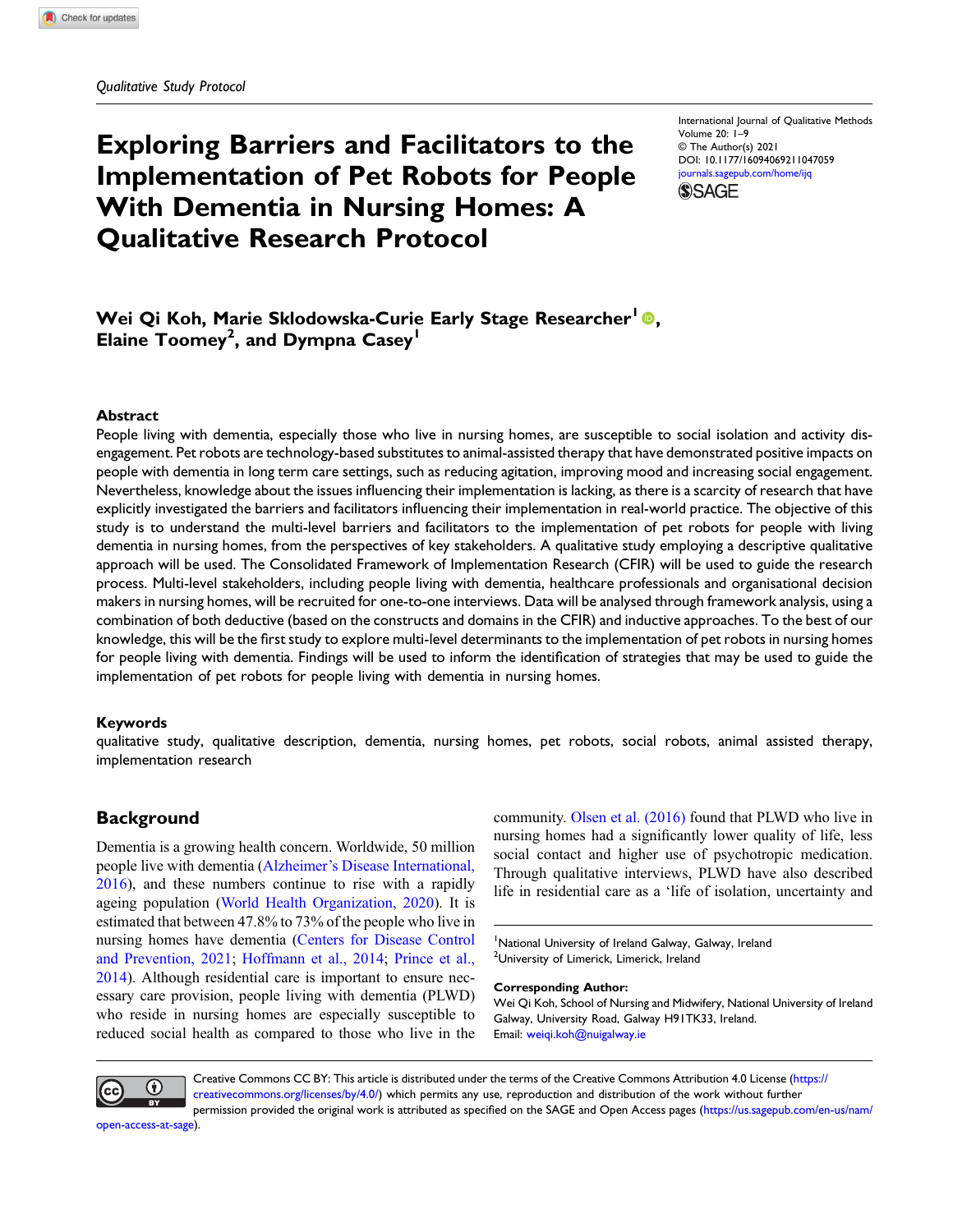# Exploring Barriers and Facilitators to the Implementation of Pet Robots for People With Dementia in Nursing Homes: A Qualitative Research Protocol

International Journal of Qualitative Methods Volume 20: 1–9 © The Author(s) 2021 DOI: [10.1177/16094069211047059](https://doi.org/10.1177/16094069211047059) [journals.sagepub.com/home/ijq](https://journals.sagepub.com/home/ijq) **SSAGE** 

## Wei Qi Koh, Marie Sklodowska-Curie Early Stage Researcher<sup>1</sup><sup>0</sup>. Elaine Toomey<sup>2</sup>, and Dympna Casey<sup>1</sup>

#### Abstract

People living with dementia, especially those who live in nursing homes, are susceptible to social isolation and activity disengagement. Pet robots are technology-based substitutes to animal-assisted therapy that have demonstrated positive impacts on people with dementia in long term care settings, such as reducing agitation, improving mood and increasing social engagement. Nevertheless, knowledge about the issues influencing their implementation is lacking, as there is a scarcity of research that have explicitly investigated the barriers and facilitators influencing their implementation in real-world practice. The objective of this study is to understand the multi-level barriers and facilitators to the implementation of pet robots for people with living dementia in nursing homes, from the perspectives of key stakeholders. A qualitative study employing a descriptive qualitative approach will be used. The Consolidated Framework of Implementation Research (CFIR) will be used to guide the research process. Multi-level stakeholders, including people living with dementia, healthcare professionals and organisational decision makers in nursing homes, will be recruited for one-to-one interviews. Data will be analysed through framework analysis, using a combination of both deductive (based on the constructs and domains in the CFIR) and inductive approaches. To the best of our knowledge, this will be the first study to explore multi-level determinants to the implementation of pet robots in nursing homes for people living with dementia. Findings will be used to inform the identification of strategies that may be used to guide the implementation of pet robots for people living with dementia in nursing homes.

#### Keywords

qualitative study, qualitative description, dementia, nursing homes, pet robots, social robots, animal assisted therapy, implementation research

## **Background**

Dementia is a growing health concern. Worldwide, 50 million people live with dementia (Alzheimer'[s Disease International,](#page-6-0) [2016\)](#page-6-0), and these numbers continue to rise with a rapidly ageing population ([World Health Organization, 2020\)](#page-8-0). It is estimated that between 47.8% to 73% of the people who live in nursing homes have dementia [\(Centers for Disease Control](#page-6-1) [and Prevention, 2021](#page-6-1); [Hoffmann et al., 2014;](#page-6-2) [Prince et al.,](#page-7-0) [2014\)](#page-7-0). Although residential care is important to ensure necessary care provision, people living with dementia (PLWD) who reside in nursing homes are especially susceptible to reduced social health as compared to those who live in the community. [Olsen et al. \(2016\)](#page-7-1) found that PLWD who live in nursing homes had a significantly lower quality of life, less social contact and higher use of psychotropic medication. Through qualitative interviews, PLWD have also described life in residential care as a 'life of isolation, uncertainty and

<sup>1</sup>National University of Ireland Galway, Galway, Ireland <sup>2</sup>University of Limerick, Limerick, Ireland

#### Corresponding Author:

Wei Qi Koh, School of Nursing and Midwifery, National University of Ireland Galway, University Road, Galway H91TK33, Ireland. Email: [weiqi.koh@nuigalway.ie](mailto:weiqi.koh@nuigalway.ie)



Creative Commons CC BY: This article is distributed under the terms of the Creative Commons Attribution 4.0 License ([https://](https://creativecommons.org/licenses/by/4.0/) [creativecommons.org/licenses/by/4.0/](https://creativecommons.org/licenses/by/4.0/)) which permits any use, reproduction and distribution of the work without further permission provided the original work is attributed as specified on the SAGE and Open Access pages [\(https://us.sagepub.com/en-us/nam/](https://us.sagepub.com/en-us/nam/open-access-at-sage)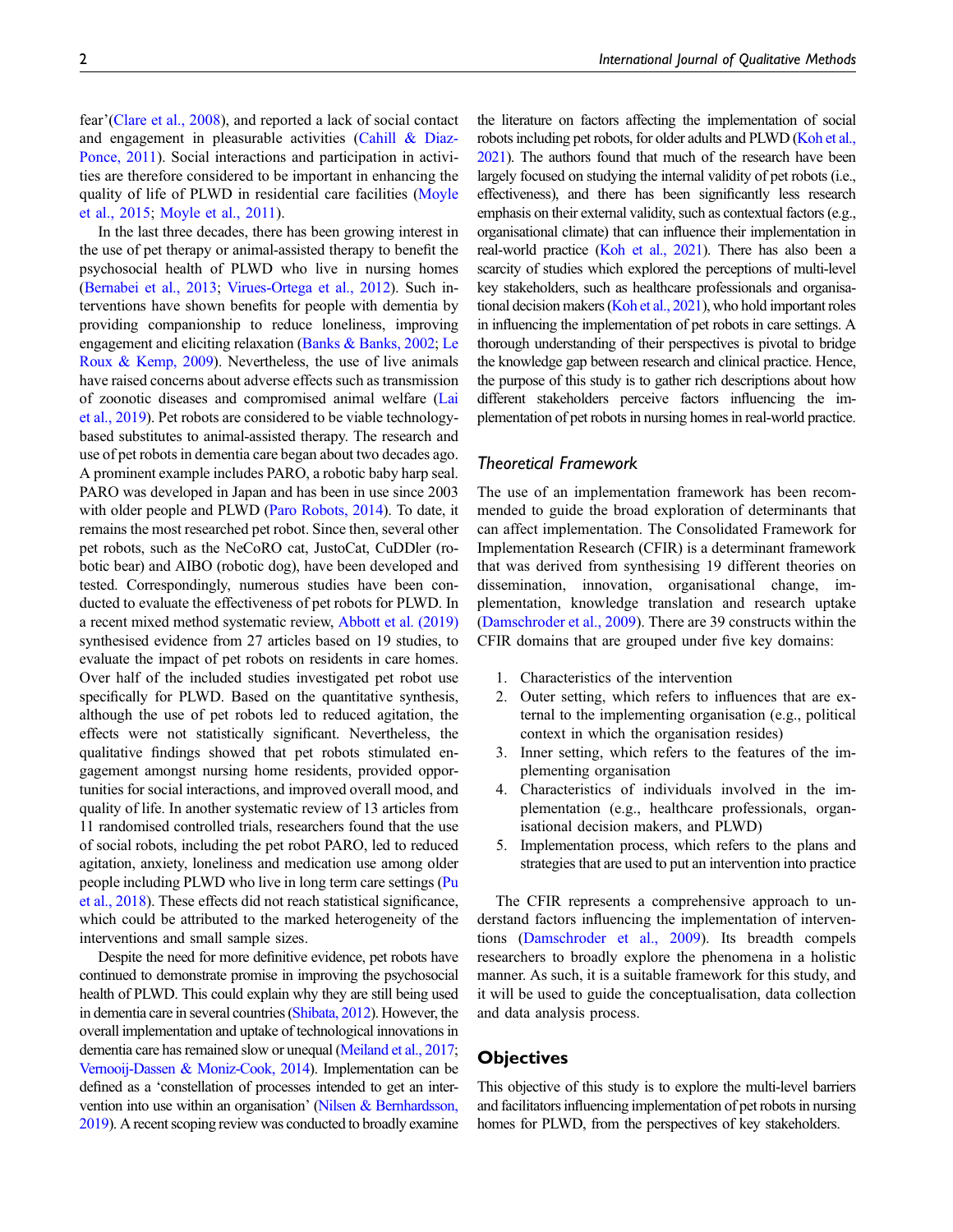fear'[\(Clare et al., 2008\)](#page-6-3), and reported a lack of social contact and engagement in pleasurable activities ([Cahill & Diaz-](#page-6-4)[Ponce, 2011\)](#page-6-4). Social interactions and participation in activities are therefore considered to be important in enhancing the quality of life of PLWD in residential care facilities ([Moyle](#page-7-2) [et al., 2015;](#page-7-2) [Moyle et al., 2011\)](#page-7-3).

In the last three decades, there has been growing interest in the use of pet therapy or animal-assisted therapy to benefit the psychosocial health of PLWD who live in nursing homes [\(Bernabei et al., 2013](#page-6-5); [Virues-Ortega et al., 2012\)](#page-8-1). Such interventions have shown benefits for people with dementia by providing companionship to reduce loneliness, improving engagement and eliciting relaxation [\(Banks & Banks, 2002](#page-6-6); [Le](#page-7-4) [Roux & Kemp, 2009](#page-7-4)). Nevertheless, the use of live animals have raised concerns about adverse effects such as transmission of zoonotic diseases and compromised animal welfare ([Lai](#page-7-5) [et al., 2019\)](#page-7-5). Pet robots are considered to be viable technologybased substitutes to animal-assisted therapy. The research and use of pet robots in dementia care began about two decades ago. A prominent example includes PARO, a robotic baby harp seal. PARO was developed in Japan and has been in use since 2003 with older people and PLWD [\(Paro Robots, 2014](#page-7-6)). To date, it remains the most researched pet robot. Since then, several other pet robots, such as the NeCoRO cat, JustoCat, CuDDler (robotic bear) and AIBO (robotic dog), have been developed and tested. Correspondingly, numerous studies have been conducted to evaluate the effectiveness of pet robots for PLWD. In a recent mixed method systematic review, [Abbott et al. \(2019\)](#page-6-7) synthesised evidence from 27 articles based on 19 studies, to evaluate the impact of pet robots on residents in care homes. Over half of the included studies investigated pet robot use specifically for PLWD. Based on the quantitative synthesis, although the use of pet robots led to reduced agitation, the effects were not statistically significant. Nevertheless, the qualitative findings showed that pet robots stimulated engagement amongst nursing home residents, provided opportunities for social interactions, and improved overall mood, and quality of life. In another systematic review of 13 articles from 11 randomised controlled trials, researchers found that the use of social robots, including the pet robot PARO, led to reduced agitation, anxiety, loneliness and medication use among older people including PLWD who live in long term care settings [\(Pu](#page-7-7) [et al., 2018\)](#page-7-7). These effects did not reach statistical significance, which could be attributed to the marked heterogeneity of the interventions and small sample sizes.

Despite the need for more definitive evidence, pet robots have continued to demonstrate promise in improving the psychosocial health of PLWD. This could explain why they are still being used in dementia care in several countries [\(Shibata, 2012](#page-8-2)). However, the overall implementation and uptake of technological innovations in dementia care has remained slow or unequal [\(Meiland et al., 2017;](#page-7-8) [Vernooij-Dassen & Moniz-Cook, 2014](#page-8-3)). Implementation can be defined as a 'constellation of processes intended to get an intervention into use within an organisation' ([Nilsen & Bernhardsson,](#page-7-9) [2019\)](#page-7-9). A recent scoping review was conducted to broadly examine

the literature on factors affecting the implementation of social robots including pet robots, for older adults and PLWD [\(Koh et al.,](#page-7-10) [2021](#page-7-10)). The authors found that much of the research have been largely focused on studying the internal validity of pet robots (i.e., effectiveness), and there has been significantly less research emphasis on their external validity, such as contextual factors (e.g., organisational climate) that can influence their implementation in real-world practice [\(Koh et al., 2021\)](#page-7-10). There has also been a scarcity of studies which explored the perceptions of multi-level key stakeholders, such as healthcare professionals and organisational decision makers [\(Koh et al., 2021](#page-7-10)), who hold important roles in influencing the implementation of pet robots in care settings. A thorough understanding of their perspectives is pivotal to bridge the knowledge gap between research and clinical practice. Hence, the purpose of this study is to gather rich descriptions about how different stakeholders perceive factors influencing the implementation of pet robots in nursing homes in real-world practice.

#### Theoretical Framework

The use of an implementation framework has been recommended to guide the broad exploration of determinants that can affect implementation. The Consolidated Framework for Implementation Research (CFIR) is a determinant framework that was derived from synthesising 19 different theories on dissemination, innovation, organisational change, implementation, knowledge translation and research uptake ([Damschroder et al., 2009\)](#page-6-8). There are 39 constructs within the CFIR domains that are grouped under five key domains:

- 1. Characteristics of the intervention
- 2. Outer setting, which refers to influences that are external to the implementing organisation (e.g., political context in which the organisation resides)
- 3. Inner setting, which refers to the features of the implementing organisation
- 4. Characteristics of individuals involved in the implementation (e.g., healthcare professionals, organisational decision makers, and PLWD)
- 5. Implementation process, which refers to the plans and strategies that are used to put an intervention into practice

The CFIR represents a comprehensive approach to understand factors influencing the implementation of interventions [\(Damschroder et al., 2009](#page-6-8)). Its breadth compels researchers to broadly explore the phenomena in a holistic manner. As such, it is a suitable framework for this study, and it will be used to guide the conceptualisation, data collection and data analysis process.

## **Objectives**

This objective of this study is to explore the multi-level barriers and facilitators influencing implementation of pet robots in nursing homes for PLWD, from the perspectives of key stakeholders.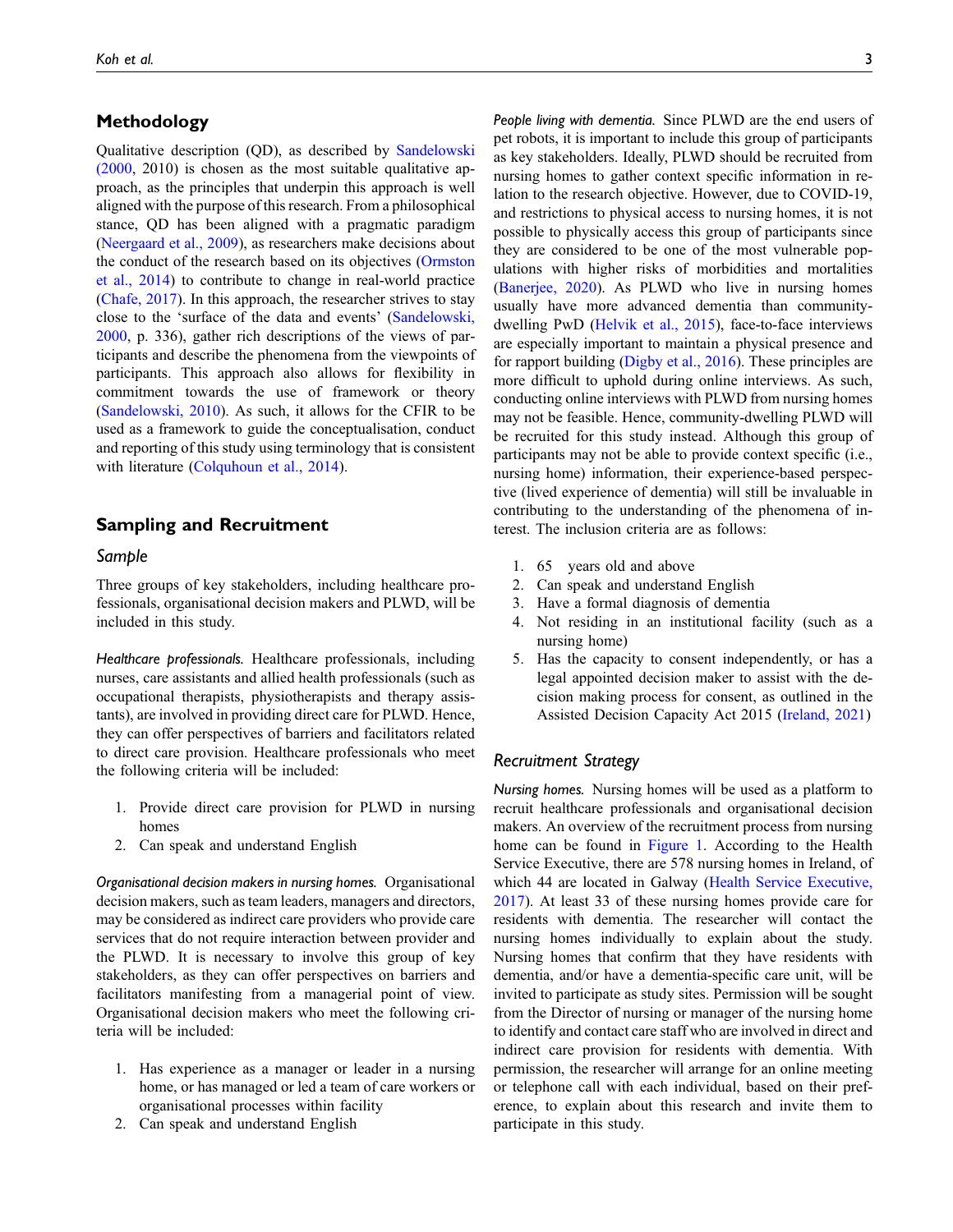## Methodology

Qualitative description (QD), as described by [Sandelowski](#page-7-11) [\(2000,](#page-7-11) 2010) is chosen as the most suitable qualitative approach, as the principles that underpin this approach is well aligned with the purpose of this research. From a philosophical stance, QD has been aligned with a pragmatic paradigm [\(Neergaard et al., 2009](#page-7-12)), as researchers make decisions about the conduct of the research based on its objectives ([Ormston](#page-7-13) [et al., 2014](#page-7-13)) to contribute to change in real-world practice [\(Chafe, 2017\)](#page-6-9). In this approach, the researcher strives to stay close to the 'surface of the data and events' [\(Sandelowski,](#page-7-11) [2000,](#page-7-11) p. 336), gather rich descriptions of the views of participants and describe the phenomena from the viewpoints of participants. This approach also allows for flexibility in commitment towards the use of framework or theory [\(Sandelowski, 2010\)](#page-8-4). As such, it allows for the CFIR to be used as a framework to guide the conceptualisation, conduct and reporting of this study using terminology that is consistent with literature ([Colquhoun et al., 2014\)](#page-6-10).

#### Sampling and Recruitment

#### Sample

Three groups of key stakeholders, including healthcare professionals, organisational decision makers and PLWD, will be included in this study.

Healthcare professionals. Healthcare professionals, including nurses, care assistants and allied health professionals (such as occupational therapists, physiotherapists and therapy assistants), are involved in providing direct care for PLWD. Hence, they can offer perspectives of barriers and facilitators related to direct care provision. Healthcare professionals who meet the following criteria will be included:

- 1. Provide direct care provision for PLWD in nursing homes
- 2. Can speak and understand English

Organisational decision makers in nursing homes. Organisational decision makers, such as team leaders, managers and directors, may be considered as indirect care providers who provide care services that do not require interaction between provider and the PLWD. It is necessary to involve this group of key stakeholders, as they can offer perspectives on barriers and facilitators manifesting from a managerial point of view. Organisational decision makers who meet the following criteria will be included:

- 1. Has experience as a manager or leader in a nursing home, or has managed or led a team of care workers or organisational processes within facility
- 2. Can speak and understand English

People living with dementia. Since PLWD are the end users of pet robots, it is important to include this group of participants as key stakeholders. Ideally, PLWD should be recruited from nursing homes to gather context specific information in relation to the research objective. However, due to COVID-19, and restrictions to physical access to nursing homes, it is not possible to physically access this group of participants since they are considered to be one of the most vulnerable populations with higher risks of morbidities and mortalities ([Banerjee, 2020](#page-6-11)). As PLWD who live in nursing homes usually have more advanced dementia than communitydwelling PwD ([Helvik et al., 2015\)](#page-6-12), face-to-face interviews are especially important to maintain a physical presence and for rapport building [\(Digby et al., 2016\)](#page-6-13). These principles are more difficult to uphold during online interviews. As such, conducting online interviews with PLWD from nursing homes may not be feasible. Hence, community-dwelling PLWD will be recruited for this study instead. Although this group of participants may not be able to provide context specific (i.e., nursing home) information, their experience-based perspective (lived experience of dementia) will still be invaluable in contributing to the understanding of the phenomena of interest. The inclusion criteria are as follows:

- 1. 65 years old and above
- 2. Can speak and understand English
- 3. Have a formal diagnosis of dementia
- 4. Not residing in an institutional facility (such as a nursing home)
- 5. Has the capacity to consent independently, or has a legal appointed decision maker to assist with the decision making process for consent, as outlined in the Assisted Decision Capacity Act 2015 ([Ireland, 2021](#page-7-14))

#### Recruitment Strategy

Nursing homes. Nursing homes will be used as a platform to recruit healthcare professionals and organisational decision makers. An overview of the recruitment process from nursing home can be found in [Figure 1.](#page-3-0) According to the Health Service Executive, there are 578 nursing homes in Ireland, of which 44 are located in Galway ([Health Service Executive,](#page-6-14) [2017](#page-6-14)). At least 33 of these nursing homes provide care for residents with dementia. The researcher will contact the nursing homes individually to explain about the study. Nursing homes that confirm that they have residents with dementia, and/or have a dementia-specific care unit, will be invited to participate as study sites. Permission will be sought from the Director of nursing or manager of the nursing home to identify and contact care staff who are involved in direct and indirect care provision for residents with dementia. With permission, the researcher will arrange for an online meeting or telephone call with each individual, based on their preference, to explain about this research and invite them to participate in this study.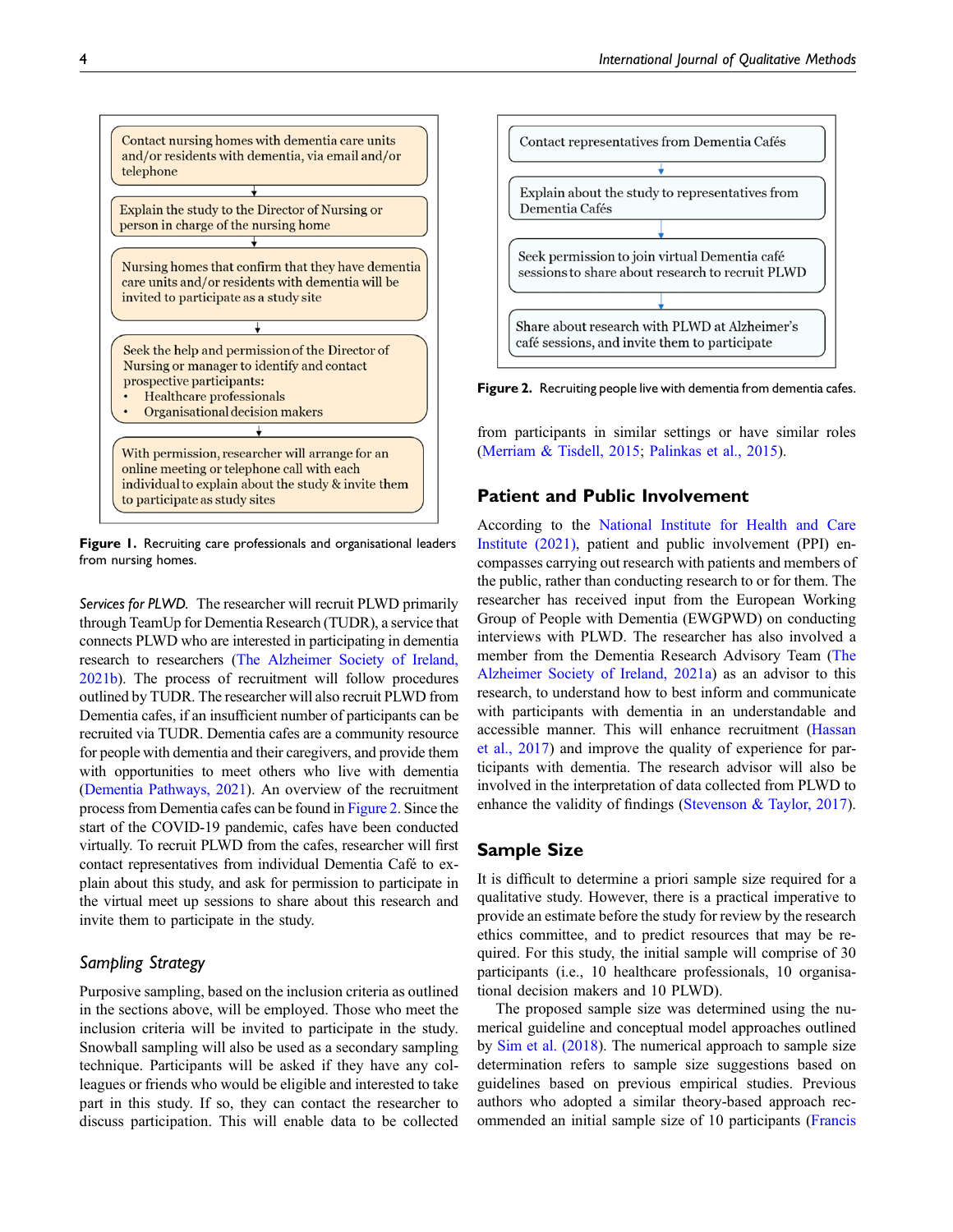

<span id="page-3-0"></span>Figure 1. Recruiting care professionals and organisational leaders from nursing homes.

Services for PLWD. The researcher will recruit PLWD primarily through TeamUp for Dementia Research (TUDR), a service that connects PLWD who are interested in participating in dementia research to researchers [\(The Alzheimer Society of Ireland,](#page-8-5) [2021b\)](#page-8-5). The process of recruitment will follow procedures outlined by TUDR. The researcher will also recruit PLWD from Dementia cafes, if an insufficient number of participants can be recruited via TUDR. Dementia cafes are a community resource for people with dementia and their caregivers, and provide them with opportunities to meet others who live with dementia [\(Dementia Pathways, 2021](#page-6-15)). An overview of the recruitment process from Dementia cafes can be found in [Figure 2](#page-3-1). Since the start of the COVID-19 pandemic, cafes have been conducted virtually. To recruit PLWD from the cafes, researcher will first contact representatives from individual Dementia Café to explain about this study, and ask for permission to participate in the virtual meet up sessions to share about this research and invite them to participate in the study.

## Sampling Strategy

Purposive sampling, based on the inclusion criteria as outlined in the sections above, will be employed. Those who meet the inclusion criteria will be invited to participate in the study. Snowball sampling will also be used as a secondary sampling technique. Participants will be asked if they have any colleagues or friends who would be eligible and interested to take part in this study. If so, they can contact the researcher to discuss participation. This will enable data to be collected



<span id="page-3-1"></span>Figure 2. Recruiting people live with dementia from dementia cafes.

from participants in similar settings or have similar roles ([Merriam & Tisdell, 2015](#page-7-15); [Palinkas et al., 2015\)](#page-7-16).

#### Patient and Public Involvement

According to the [National Institute for Health and Care](#page-7-17) [Institute \(2021\)](#page-7-17), patient and public involvement (PPI) encompasses carrying out research with patients and members of the public, rather than conducting research to or for them. The researcher has received input from the European Working Group of People with Dementia (EWGPWD) on conducting interviews with PLWD. The researcher has also involved a member from the Dementia Research Advisory Team ([The](#page-8-6) [Alzheimer Society of Ireland, 2021a\)](#page-8-6) as an advisor to this research, to understand how to best inform and communicate with participants with dementia in an understandable and accessible manner. This will enhance recruitment ([Hassan](#page-6-16) [et al., 2017](#page-6-16)) and improve the quality of experience for participants with dementia. The research advisor will also be involved in the interpretation of data collected from PLWD to enhance the validity of findings [\(Stevenson & Taylor, 2017\)](#page-8-7).

## Sample Size

It is difficult to determine a priori sample size required for a qualitative study. However, there is a practical imperative to provide an estimate before the study for review by the research ethics committee, and to predict resources that may be required. For this study, the initial sample will comprise of 30 participants (i.e., 10 healthcare professionals, 10 organisational decision makers and 10 PLWD).

The proposed sample size was determined using the numerical guideline and conceptual model approaches outlined by [Sim et al. \(2018](#page-8-8)). The numerical approach to sample size determination refers to sample size suggestions based on guidelines based on previous empirical studies. Previous authors who adopted a similar theory-based approach recommended an initial sample size of 10 participants [\(Francis](#page-6-17)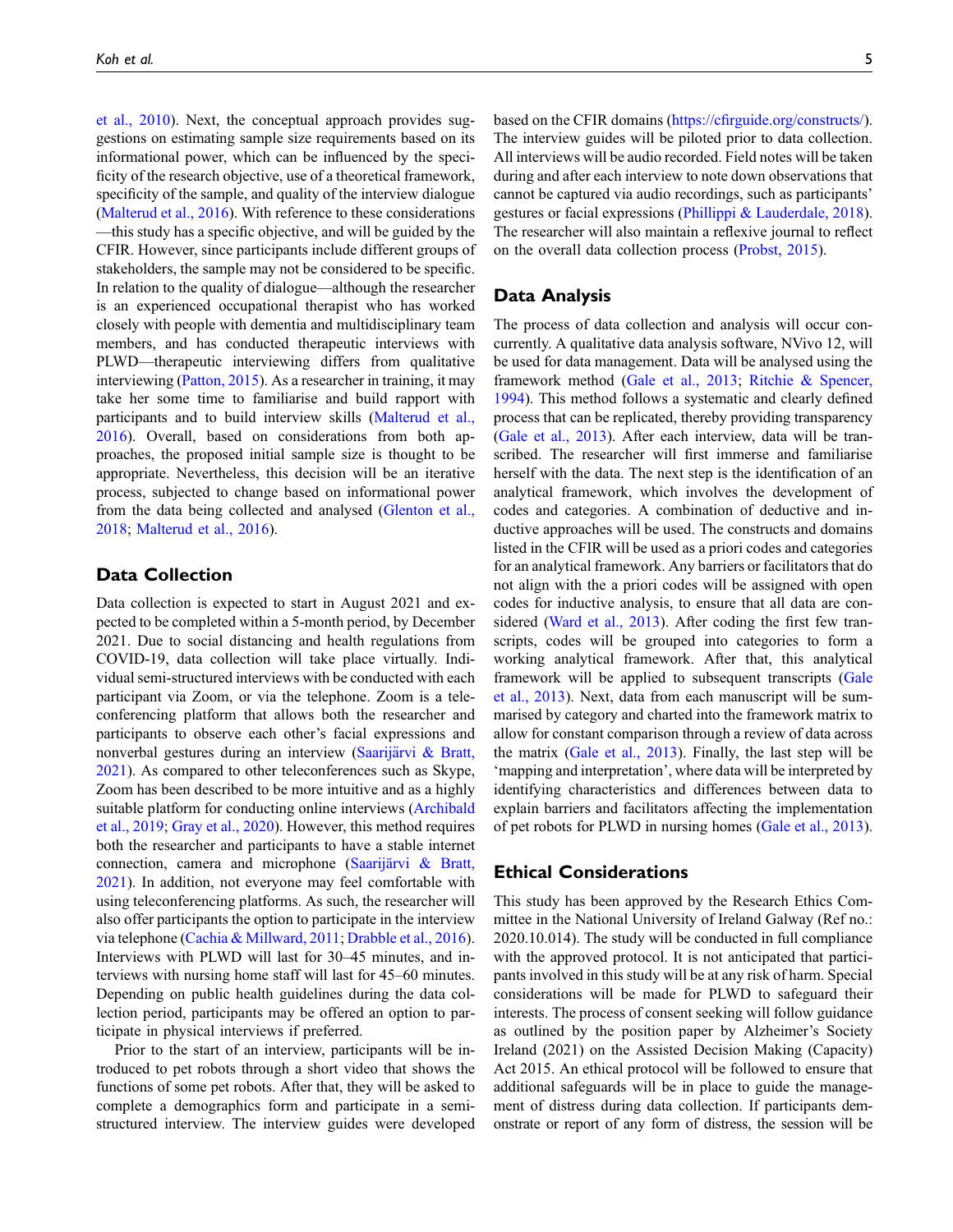[et al., 2010\)](#page-6-17). Next, the conceptual approach provides suggestions on estimating sample size requirements based on its informational power, which can be influenced by the specificity of the research objective, use of a theoretical framework, specificity of the sample, and quality of the interview dialogue [\(Malterud et al., 2016](#page-7-18)). With reference to these considerations —this study has a specific objective, and will be guided by the CFIR. However, since participants include different groups of stakeholders, the sample may not be considered to be specific. In relation to the quality of dialogue—although the researcher is an experienced occupational therapist who has worked closely with people with dementia and multidisciplinary team members, and has conducted therapeutic interviews with PLWD—therapeutic interviewing differs from qualitative interviewing ([Patton, 2015\)](#page-7-19). As a researcher in training, it may take her some time to familiarise and build rapport with participants and to build interview skills [\(Malterud et al.,](#page-7-18) [2016\)](#page-7-18). Overall, based on considerations from both approaches, the proposed initial sample size is thought to be appropriate. Nevertheless, this decision will be an iterative process, subjected to change based on informational power from the data being collected and analysed ([Glenton et al.,](#page-6-18) [2018;](#page-6-18) [Malterud et al., 2016\)](#page-7-18).

## Data Collection

Data collection is expected to start in August 2021 and expected to be completed within a 5-month period, by December 2021. Due to social distancing and health regulations from COVID-19, data collection will take place virtually. Individual semi-structured interviews with be conducted with each participant via Zoom, or via the telephone. Zoom is a teleconferencing platform that allows both the researcher and participants to observe each other's facial expressions and nonverbal gestures during an interview [\(Saarij](#page-7-20)ä[rvi & Bratt,](#page-7-20) [2021\)](#page-7-20). As compared to other teleconferences such as Skype, Zoom has been described to be more intuitive and as a highly suitable platform for conducting online interviews ([Archibald](#page-6-19) [et al., 2019](#page-6-19); [Gray et al., 2020](#page-6-20)). However, this method requires both the researcher and participants to have a stable internet connection, camera and microphone (Saarijärvi & Bratt, [2021\)](#page-7-20). In addition, not everyone may feel comfortable with using teleconferencing platforms. As such, the researcher will also offer participants the option to participate in the interview via telephone [\(Cachia & Millward, 2011;](#page-6-21) [Drabble et al., 2016\)](#page-6-22). Interviews with PLWD will last for 30–45 minutes, and interviews with nursing home staff will last for 45–60 minutes. Depending on public health guidelines during the data collection period, participants may be offered an option to participate in physical interviews if preferred.

Prior to the start of an interview, participants will be introduced to pet robots through a short video that shows the functions of some pet robots. After that, they will be asked to complete a demographics form and participate in a semistructured interview. The interview guides were developed

based on the CFIR domains (https://cfi[rguide.org/constructs/](https://cfirguide.org/constructs/)). The interview guides will be piloted prior to data collection. All interviews will be audio recorded. Field notes will be taken during and after each interview to note down observations that cannot be captured via audio recordings, such as participants' gestures or facial expressions [\(Phillippi & Lauderdale, 2018](#page-7-21)). The researcher will also maintain a reflexive journal to reflect on the overall data collection process ([Probst, 2015\)](#page-7-22).

## Data Analysis

The process of data collection and analysis will occur concurrently. A qualitative data analysis software, NVivo 12, will be used for data management. Data will be analysed using the framework method ([Gale et al., 2013](#page-6-23); [Ritchie & Spencer,](#page-7-23) [1994](#page-7-23)). This method follows a systematic and clearly defined process that can be replicated, thereby providing transparency ([Gale et al., 2013](#page-6-23)). After each interview, data will be transcribed. The researcher will first immerse and familiarise herself with the data. The next step is the identification of an analytical framework, which involves the development of codes and categories. A combination of deductive and inductive approaches will be used. The constructs and domains listed in the CFIR will be used as a priori codes and categories for an analytical framework. Any barriers or facilitators that do not align with the a priori codes will be assigned with open codes for inductive analysis, to ensure that all data are con-sidered ([Ward et al., 2013](#page-8-9)). After coding the first few transcripts, codes will be grouped into categories to form a working analytical framework. After that, this analytical framework will be applied to subsequent transcripts [\(Gale](#page-6-23) [et al., 2013](#page-6-23)). Next, data from each manuscript will be summarised by category and charted into the framework matrix to allow for constant comparison through a review of data across the matrix [\(Gale et al., 2013\)](#page-6-23). Finally, the last step will be 'mapping and interpretation', where data will be interpreted by identifying characteristics and differences between data to explain barriers and facilitators affecting the implementation of pet robots for PLWD in nursing homes [\(Gale et al., 2013](#page-6-23)).

## Ethical Considerations

This study has been approved by the Research Ethics Committee in the National University of Ireland Galway (Ref no.: 2020.10.014). The study will be conducted in full compliance with the approved protocol. It is not anticipated that participants involved in this study will be at any risk of harm. Special considerations will be made for PLWD to safeguard their interests. The process of consent seeking will follow guidance as outlined by the position paper by Alzheimer's Society Ireland (2021) on the Assisted Decision Making (Capacity) Act 2015. An ethical protocol will be followed to ensure that additional safeguards will be in place to guide the management of distress during data collection. If participants demonstrate or report of any form of distress, the session will be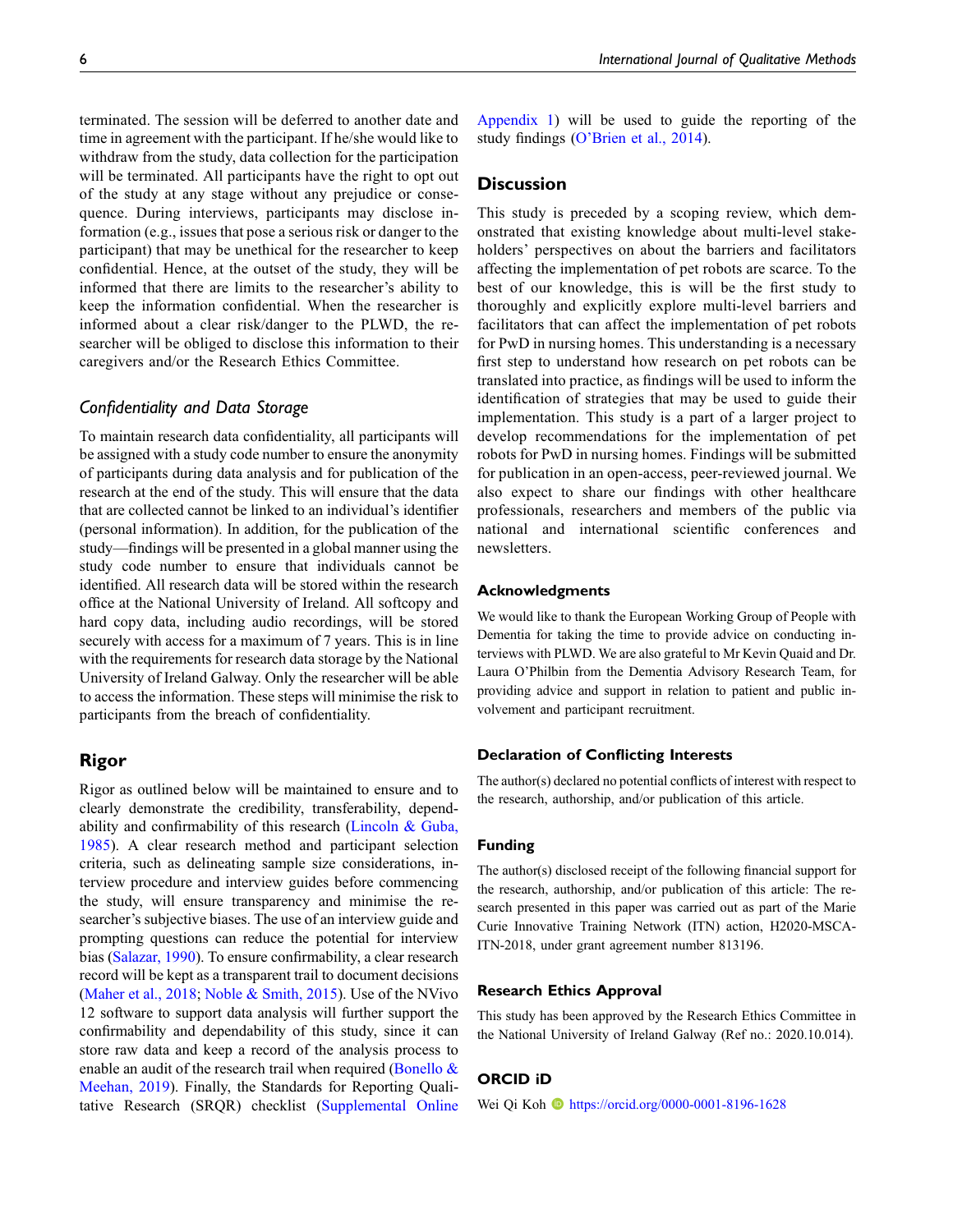terminated. The session will be deferred to another date and time in agreement with the participant. If he/she would like to withdraw from the study, data collection for the participation will be terminated. All participants have the right to opt out of the study at any stage without any prejudice or consequence. During interviews, participants may disclose information (e.g., issues that pose a serious risk or danger to the participant) that may be unethical for the researcher to keep confidential. Hence, at the outset of the study, they will be informed that there are limits to the researcher's ability to keep the information confidential. When the researcher is informed about a clear risk/danger to the PLWD, the researcher will be obliged to disclose this information to their caregivers and/or the Research Ethics Committee.

#### Confidentiality and Data Storage

To maintain research data confidentiality, all participants will be assigned with a study code number to ensure the anonymity of participants during data analysis and for publication of the research at the end of the study. This will ensure that the data that are collected cannot be linked to an individual's identifier (personal information). In addition, for the publication of the study—findings will be presented in a global manner using the study code number to ensure that individuals cannot be identified. All research data will be stored within the research office at the National University of Ireland. All softcopy and hard copy data, including audio recordings, will be stored securely with access for a maximum of 7 years. This is in line with the requirements for research data storage by the National University of Ireland Galway. Only the researcher will be able to access the information. These steps will minimise the risk to participants from the breach of confidentiality.

## Rigor

Rigor as outlined below will be maintained to ensure and to clearly demonstrate the credibility, transferability, depend-ability and confirmability of this research [\(Lincoln & Guba,](#page-7-24) [1985](#page-7-24)). A clear research method and participant selection criteria, such as delineating sample size considerations, interview procedure and interview guides before commencing the study, will ensure transparency and minimise the researcher's subjective biases. The use of an interview guide and prompting questions can reduce the potential for interview bias [\(Salazar, 1990\)](#page-7-25). To ensure confirmability, a clear research record will be kept as a transparent trail to document decisions [\(Maher et al., 2018;](#page-7-26) [Noble & Smith, 2015](#page-7-27)). Use of the NVivo 12 software to support data analysis will further support the confirmability and dependability of this study, since it can store raw data and keep a record of the analysis process to enable an audit of the research trail when required (Bonello  $\&$ [Meehan, 2019](#page-6-24)). Finally, the Standards for Reporting Qualitative Research (SRQR) checklist ([Supplemental Online](https://journals.sagepub.com/doi/suppl/10.1177/16094069211047059) [Appendix 1](https://journals.sagepub.com/doi/suppl/10.1177/16094069211047059)) will be used to guide the reporting of the study findings (O'[Brien et al., 2014](#page-7-28)).

### **Discussion**

This study is preceded by a scoping review, which demonstrated that existing knowledge about multi-level stakeholders' perspectives on about the barriers and facilitators affecting the implementation of pet robots are scarce. To the best of our knowledge, this is will be the first study to thoroughly and explicitly explore multi-level barriers and facilitators that can affect the implementation of pet robots for PwD in nursing homes. This understanding is a necessary first step to understand how research on pet robots can be translated into practice, as findings will be used to inform the identification of strategies that may be used to guide their implementation. This study is a part of a larger project to develop recommendations for the implementation of pet robots for PwD in nursing homes. Findings will be submitted for publication in an open-access, peer-reviewed journal. We also expect to share our findings with other healthcare professionals, researchers and members of the public via national and international scientific conferences and newsletters.

#### Acknowledgments

We would like to thank the European Working Group of People with Dementia for taking the time to provide advice on conducting interviews with PLWD. We are also grateful to Mr Kevin Quaid and Dr. Laura O'Philbin from the Dementia Advisory Research Team, for providing advice and support in relation to patient and public involvement and participant recruitment.

#### Declaration of Conflicting Interests

The author(s) declared no potential conflicts of interest with respect to the research, authorship, and/or publication of this article.

#### Funding

The author(s) disclosed receipt of the following financial support for the research, authorship, and/or publication of this article: The research presented in this paper was carried out as part of the Marie Curie Innovative Training Network (ITN) action, H2020-MSCA-ITN-2018, under grant agreement number 813196.

#### Research Ethics Approval

This study has been approved by the Research Ethics Committee in the National University of Ireland Galway (Ref no.: 2020.10.014).

#### ORCID iD

Wei Qi Koh **b** <https://orcid.org/0000-0001-8196-1628>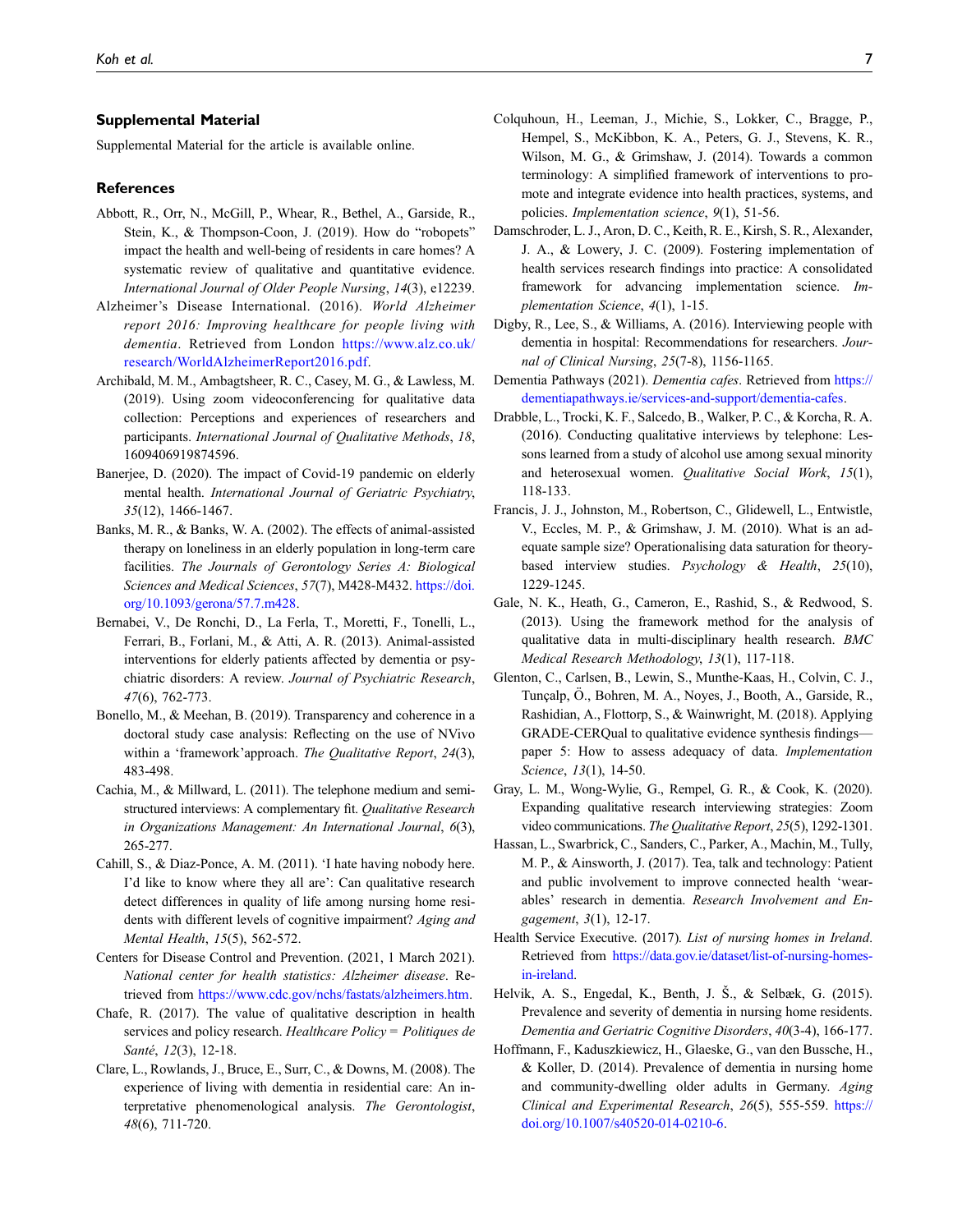#### Supplemental Material

Supplemental Material for the article is available online.

#### References

- <span id="page-6-7"></span>Abbott, R., Orr, N., McGill, P., Whear, R., Bethel, A., Garside, R., Stein, K., & Thompson-Coon, J. (2019). How do "robopets" impact the health and well-being of residents in care homes? A systematic review of qualitative and quantitative evidence. International Journal of Older People Nursing, 14(3), e12239.
- <span id="page-6-0"></span>Alzheimer's Disease International. (2016). World Alzheimer report 2016: Improving healthcare for people living with dementia. Retrieved from London [https://www.alz.co.uk/](https://www.alz.co.uk/research/WorldAlzheimerReport2016.pdf) [research/WorldAlzheimerReport2016.pdf](https://www.alz.co.uk/research/WorldAlzheimerReport2016.pdf).
- <span id="page-6-19"></span>Archibald, M. M., Ambagtsheer, R. C., Casey, M. G., & Lawless, M. (2019). Using zoom videoconferencing for qualitative data collection: Perceptions and experiences of researchers and participants. International Journal of Qualitative Methods, 18, 1609406919874596.
- <span id="page-6-11"></span>Banerjee, D. (2020). The impact of Covid-19 pandemic on elderly mental health. International Journal of Geriatric Psychiatry, 35(12), 1466-1467.
- <span id="page-6-6"></span>Banks, M. R., & Banks, W. A. (2002). The effects of animal-assisted therapy on loneliness in an elderly population in long-term care facilities. The Journals of Gerontology Series A: Biological Sciences and Medical Sciences, 57(7), M428-M432. [https://doi.](https://doi.org/10.1093/gerona/57.7.m428) [org/10.1093/gerona/57.7.m428](https://doi.org/10.1093/gerona/57.7.m428).
- <span id="page-6-5"></span>Bernabei, V., De Ronchi, D., La Ferla, T., Moretti, F., Tonelli, L., Ferrari, B., Forlani, M., & Atti, A. R. (2013). Animal-assisted interventions for elderly patients affected by dementia or psychiatric disorders: A review. Journal of Psychiatric Research, 47(6), 762-773.
- <span id="page-6-24"></span>Bonello, M., & Meehan, B. (2019). Transparency and coherence in a doctoral study case analysis: Reflecting on the use of NVivo within a 'framework'approach. The Qualitative Report, 24(3), 483-498.
- <span id="page-6-21"></span>Cachia, M., & Millward, L. (2011). The telephone medium and semistructured interviews: A complementary fit. Qualitative Research in Organizations Management: An International Journal, 6(3), 265-277.
- <span id="page-6-4"></span>Cahill, S., & Diaz-Ponce, A. M. (2011). 'I hate having nobody here. I'd like to know where they all are': Can qualitative research detect differences in quality of life among nursing home residents with different levels of cognitive impairment? Aging and Mental Health, 15(5), 562-572.
- <span id="page-6-1"></span>Centers for Disease Control and Prevention. (2021, 1 March 2021). National center for health statistics: Alzheimer disease. Retrieved from <https://www.cdc.gov/nchs/fastats/alzheimers.htm>.
- <span id="page-6-9"></span>Chafe, R. (2017). The value of qualitative description in health services and policy research. Healthcare Policy = Politiques de Santé, 12(3), 12-18.
- <span id="page-6-3"></span>Clare, L., Rowlands, J., Bruce, E., Surr, C., & Downs, M. (2008). The experience of living with dementia in residential care: An interpretative phenomenological analysis. The Gerontologist, 48(6), 711-720.
- <span id="page-6-10"></span>Colquhoun, H., Leeman, J., Michie, S., Lokker, C., Bragge, P., Hempel, S., McKibbon, K. A., Peters, G. J., Stevens, K. R., Wilson, M. G., & Grimshaw, J. (2014). Towards a common terminology: A simplified framework of interventions to promote and integrate evidence into health practices, systems, and policies. Implementation science, 9(1), 51-56.
- <span id="page-6-8"></span>Damschroder, L. J., Aron, D. C., Keith, R. E., Kirsh, S. R., Alexander, J. A., & Lowery, J. C. (2009). Fostering implementation of health services research findings into practice: A consolidated framework for advancing implementation science. Implementation Science, 4(1), 1-15.
- <span id="page-6-13"></span>Digby, R., Lee, S., & Williams, A. (2016). Interviewing people with dementia in hospital: Recommendations for researchers. Journal of Clinical Nursing, 25(7-8), 1156-1165.
- <span id="page-6-15"></span>Dementia Pathways (2021). Dementia cafes. Retrieved from [https://](https://dementiapathways.ie/services-and-support/dementia-cafes) [dementiapathways.ie/services-and-support/dementia-cafes](https://dementiapathways.ie/services-and-support/dementia-cafes).
- <span id="page-6-22"></span>Drabble, L., Trocki, K. F., Salcedo, B., Walker, P. C., & Korcha, R. A. (2016). Conducting qualitative interviews by telephone: Lessons learned from a study of alcohol use among sexual minority and heterosexual women. Qualitative Social Work, 15(1), 118-133.
- <span id="page-6-17"></span>Francis, J. J., Johnston, M., Robertson, C., Glidewell, L., Entwistle, V., Eccles, M. P., & Grimshaw, J. M. (2010). What is an adequate sample size? Operationalising data saturation for theorybased interview studies. Psychology & Health, 25(10), 1229-1245.
- <span id="page-6-23"></span>Gale, N. K., Heath, G., Cameron, E., Rashid, S., & Redwood, S. (2013). Using the framework method for the analysis of qualitative data in multi-disciplinary health research. BMC Medical Research Methodology, 13(1), 117-118.
- <span id="page-6-18"></span>Glenton, C., Carlsen, B., Lewin, S., Munthe-Kaas, H., Colvin, C. J., Tunçalp, O., Bohren, M. A., Noyes, J., Booth, A., Garside, R., ¨ Rashidian, A., Flottorp, S., & Wainwright, M. (2018). Applying GRADE-CERQual to qualitative evidence synthesis findings paper 5: How to assess adequacy of data. Implementation Science, 13(1), 14-50.
- <span id="page-6-20"></span>Gray, L. M., Wong-Wylie, G., Rempel, G. R., & Cook, K. (2020). Expanding qualitative research interviewing strategies: Zoom video communications. The Qualitative Report, 25(5), 1292-1301.
- <span id="page-6-16"></span>Hassan, L., Swarbrick, C., Sanders, C., Parker, A., Machin, M., Tully, M. P., & Ainsworth, J. (2017). Tea, talk and technology: Patient and public involvement to improve connected health 'wearables' research in dementia. Research Involvement and Engagement, 3(1), 12-17.
- <span id="page-6-14"></span>Health Service Executive. (2017). List of nursing homes in Ireland. Retrieved from [https://data.gov.ie/dataset/list-of-nursing-homes](https://data.gov.ie/dataset/list-of-nursing-homes-in-ireland)[in-ireland.](https://data.gov.ie/dataset/list-of-nursing-homes-in-ireland)
- <span id="page-6-12"></span>Helvik, A. S., Engedal, K., Benth, J. Š., & Selbæk, G.  $(2015)$ . Prevalence and severity of dementia in nursing home residents. Dementia and Geriatric Cognitive Disorders, 40(3-4), 166-177.
- <span id="page-6-2"></span>Hoffmann, F., Kaduszkiewicz, H., Glaeske, G., van den Bussche, H., & Koller, D. (2014). Prevalence of dementia in nursing home and community-dwelling older adults in Germany. Aging Clinical and Experimental Research, 26(5), 555-559. [https://](https://doi.org/10.1007/s40520-014-0210-6) [doi.org/10.1007/s40520-014-0210-6](https://doi.org/10.1007/s40520-014-0210-6).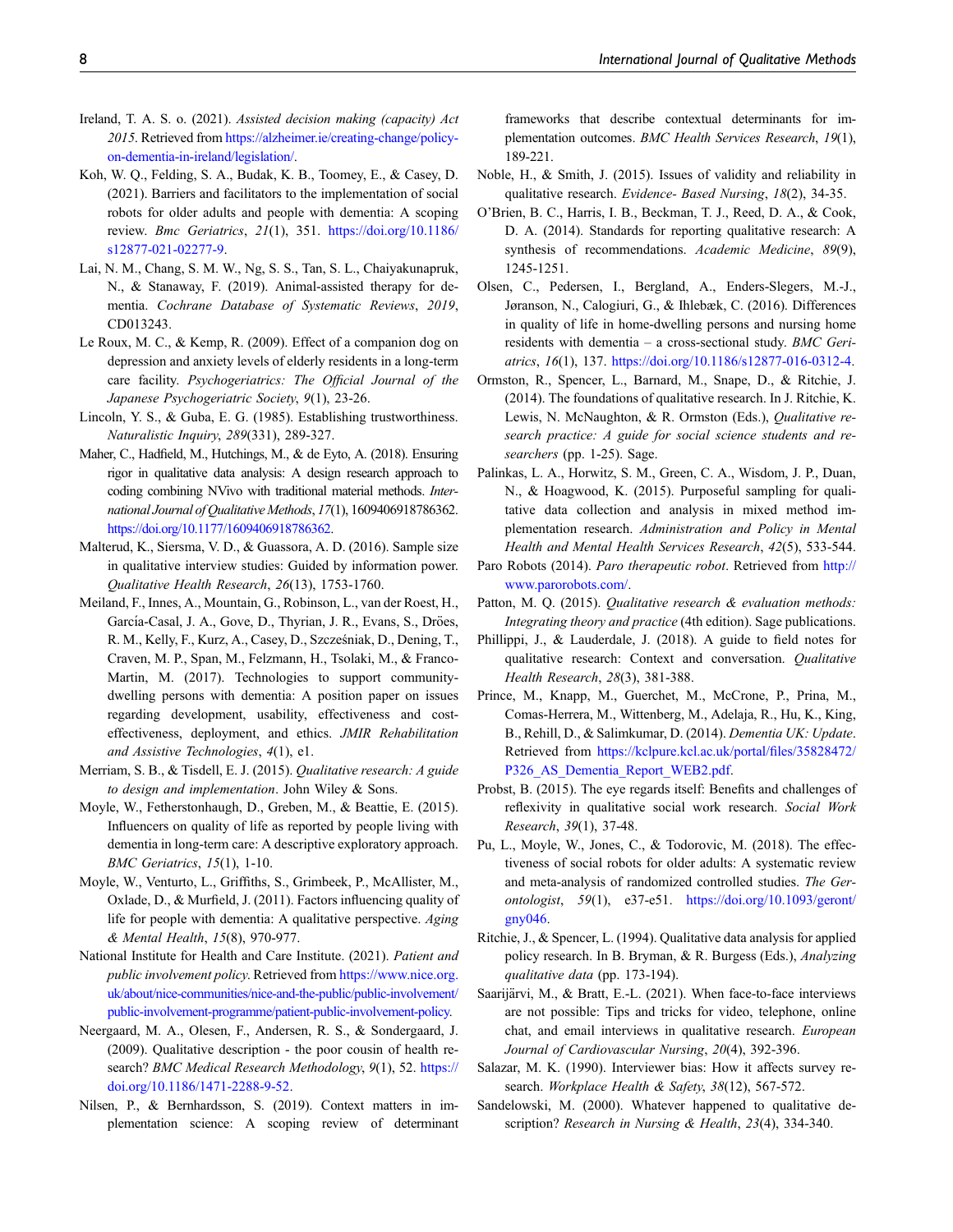- <span id="page-7-14"></span>Ireland, T. A. S. o. (2021). Assisted decision making (capacity) Act 2015. Retrieved from [https://alzheimer.ie/creating-change/policy](https://alzheimer.ie/creating-change/policy-on-dementia-in-ireland/legislation/)[on-dementia-in-ireland/legislation/.](https://alzheimer.ie/creating-change/policy-on-dementia-in-ireland/legislation/)
- <span id="page-7-10"></span>Koh, W. Q., Felding, S. A., Budak, K. B., Toomey, E., & Casey, D. (2021). Barriers and facilitators to the implementation of social robots for older adults and people with dementia: A scoping review. Bmc Geriatrics, 21(1), 351. [https://doi.org/10.1186/](https://doi.org/10.1186/s12877-021-02277-9) [s12877-021-02277-9.](https://doi.org/10.1186/s12877-021-02277-9)
- <span id="page-7-5"></span>Lai, N. M., Chang, S. M. W., Ng, S. S., Tan, S. L., Chaiyakunapruk, N., & Stanaway, F. (2019). Animal-assisted therapy for dementia. Cochrane Database of Systematic Reviews, 2019, CD013243.
- <span id="page-7-4"></span>Le Roux, M. C., & Kemp, R. (2009). Effect of a companion dog on depression and anxiety levels of elderly residents in a long-term care facility. Psychogeriatrics: The Official Journal of the Japanese Psychogeriatric Society, 9(1), 23-26.
- <span id="page-7-24"></span>Lincoln, Y. S., & Guba, E. G. (1985). Establishing trustworthiness. Naturalistic Inquiry, 289(331), 289-327.
- <span id="page-7-26"></span>Maher, C., Hadfield, M., Hutchings, M., & de Eyto, A. (2018). Ensuring rigor in qualitative data analysis: A design research approach to coding combining NVivo with traditional material methods. International Journal of Qualitative Methods, 17(1), 1609406918786362. <https://doi.org/10.1177/1609406918786362>.
- <span id="page-7-18"></span>Malterud, K., Siersma, V. D., & Guassora, A. D. (2016). Sample size in qualitative interview studies: Guided by information power. Qualitative Health Research, 26(13), 1753-1760.
- <span id="page-7-8"></span>Meiland, F., Innes, A., Mountain, G., Robinson, L., van der Roest, H., García-Casal, J. A., Gove, D., Thyrian, J. R., Evans, S., Dröes, R. M., Kelly, F., Kurz, A., Casey, D., Szczesniak, D., Dening, T., ´ Craven, M. P., Span, M., Felzmann, H., Tsolaki, M., & Franco-Martin, M. (2017). Technologies to support communitydwelling persons with dementia: A position paper on issues regarding development, usability, effectiveness and costeffectiveness, deployment, and ethics. JMIR Rehabilitation and Assistive Technologies, 4(1), e1.
- <span id="page-7-15"></span>Merriam, S. B., & Tisdell, E. J. (2015). Qualitative research: A guide to design and implementation. John Wiley & Sons.
- <span id="page-7-2"></span>Moyle, W., Fetherstonhaugh, D., Greben, M., & Beattie, E. (2015). Influencers on quality of life as reported by people living with dementia in long-term care: A descriptive exploratory approach. BMC Geriatrics, 15(1), 1-10.
- <span id="page-7-3"></span>Moyle, W., Venturto, L., Griffiths, S., Grimbeek, P., McAllister, M., Oxlade, D., & Murfield, J. (2011). Factors influencing quality of life for people with dementia: A qualitative perspective. Aging & Mental Health, 15(8), 970-977.
- <span id="page-7-17"></span>National Institute for Health and Care Institute. (2021). Patient and public involvement policy. Retrieved from [https://www.nice.org.](https://www.nice.org.uk/about/nice-communities/nice-and-the-public/public-involvement/public-involvement-programme/patient-public-involvement-policy) [uk/about/nice-communities/nice-and-the-public/public-involvement/](https://www.nice.org.uk/about/nice-communities/nice-and-the-public/public-involvement/public-involvement-programme/patient-public-involvement-policy) [public-involvement-programme/patient-public-involvement-policy.](https://www.nice.org.uk/about/nice-communities/nice-and-the-public/public-involvement/public-involvement-programme/patient-public-involvement-policy)
- <span id="page-7-12"></span>Neergaard, M. A., Olesen, F., Andersen, R. S., & Sondergaard, J. (2009). Qualitative description - the poor cousin of health research? BMC Medical Research Methodology, 9(1), 52. [https://](https://doi.org/10.1186/1471-2288-9-52) [doi.org/10.1186/1471-2288-9-52](https://doi.org/10.1186/1471-2288-9-52).
- <span id="page-7-9"></span>Nilsen, P., & Bernhardsson, S. (2019). Context matters in implementation science: A scoping review of determinant

frameworks that describe contextual determinants for implementation outcomes. BMC Health Services Research, 19(1), 189-221.

- <span id="page-7-27"></span>Noble, H., & Smith, J. (2015). Issues of validity and reliability in qualitative research. Evidence- Based Nursing, 18(2), 34-35.
- <span id="page-7-28"></span>O'Brien, B. C., Harris, I. B., Beckman, T. J., Reed, D. A., & Cook, D. A. (2014). Standards for reporting qualitative research: A synthesis of recommendations. Academic Medicine, 89(9), 1245-1251.
- <span id="page-7-1"></span>Olsen, C., Pedersen, I., Bergland, A., Enders-Slegers, M.-J., Jøranson, N., Calogiuri, G., & Ihlebæk, C. (2016). Differences in quality of life in home-dwelling persons and nursing home residents with dementia – a cross-sectional study. BMC Geriatrics, 16(1), 137. <https://doi.org/10.1186/s12877-016-0312-4>.
- <span id="page-7-13"></span>Ormston, R., Spencer, L., Barnard, M., Snape, D., & Ritchie, J. (2014). The foundations of qualitative research. In J. Ritchie, K. Lewis, N. McNaughton, & R. Ormston (Eds.), Qualitative research practice: A guide for social science students and researchers (pp. 1-25). Sage.
- <span id="page-7-16"></span>Palinkas, L. A., Horwitz, S. M., Green, C. A., Wisdom, J. P., Duan, N., & Hoagwood, K. (2015). Purposeful sampling for qualitative data collection and analysis in mixed method implementation research. Administration and Policy in Mental Health and Mental Health Services Research, 42(5), 533-544.
- <span id="page-7-6"></span>Paro Robots (2014). Paro therapeutic robot. Retrieved from [http://](http://www.parorobots.com/) [www.parorobots.com/.](http://www.parorobots.com/)
- <span id="page-7-19"></span>Patton, M. Q. (2015). Qualitative research & evaluation methods: Integrating theory and practice (4th edition). Sage publications.
- <span id="page-7-21"></span>Phillippi, J., & Lauderdale, J. (2018). A guide to field notes for qualitative research: Context and conversation. Qualitative Health Research, 28(3), 381-388.
- <span id="page-7-0"></span>Prince, M., Knapp, M., Guerchet, M., McCrone, P., Prina, M., Comas-Herrera, M., Wittenberg, M., Adelaja, R., Hu, K., King, B., Rehill, D., & Salimkumar, D. (2014). Dementia UK: Update. Retrieved from [https://kclpure.kcl.ac.uk/portal/](https://kclpure.kcl.ac.uk/portal/files/35828472/P326_AS_Dementia_Report_WEB2.pdf)files/35828472/ P326 AS Dementia Report WEB2.pdf.
- <span id="page-7-22"></span>Probst, B. (2015). The eye regards itself: Benefits and challenges of reflexivity in qualitative social work research. Social Work Research, 39(1), 37-48.
- <span id="page-7-7"></span>Pu, L., Moyle, W., Jones, C., & Todorovic, M. (2018). The effectiveness of social robots for older adults: A systematic review and meta-analysis of randomized controlled studies. The Gerontologist, 59(1), e37-e51. [https://doi.org/10.1093/geront/](https://doi.org/10.1093/geront/gny046%20%J%20The%20Gerontologist) [gny046](https://doi.org/10.1093/geront/gny046%20%J%20The%20Gerontologist).
- <span id="page-7-23"></span>Ritchie, J., & Spencer, L. (1994). Qualitative data analysis for applied policy research. In B. Bryman, & R. Burgess (Eds.), Analyzing qualitative data (pp. 173-194).
- <span id="page-7-20"></span>Saarijärvi, M., & Bratt, E.-L. (2021). When face-to-face interviews are not possible: Tips and tricks for video, telephone, online chat, and email interviews in qualitative research. European Journal of Cardiovascular Nursing, 20(4), 392-396.
- <span id="page-7-25"></span>Salazar, M. K. (1990). Interviewer bias: How it affects survey research. Workplace Health & Safety, 38(12), 567-572.
- <span id="page-7-11"></span>Sandelowski, M. (2000). Whatever happened to qualitative description? Research in Nursing & Health, 23(4), 334-340.